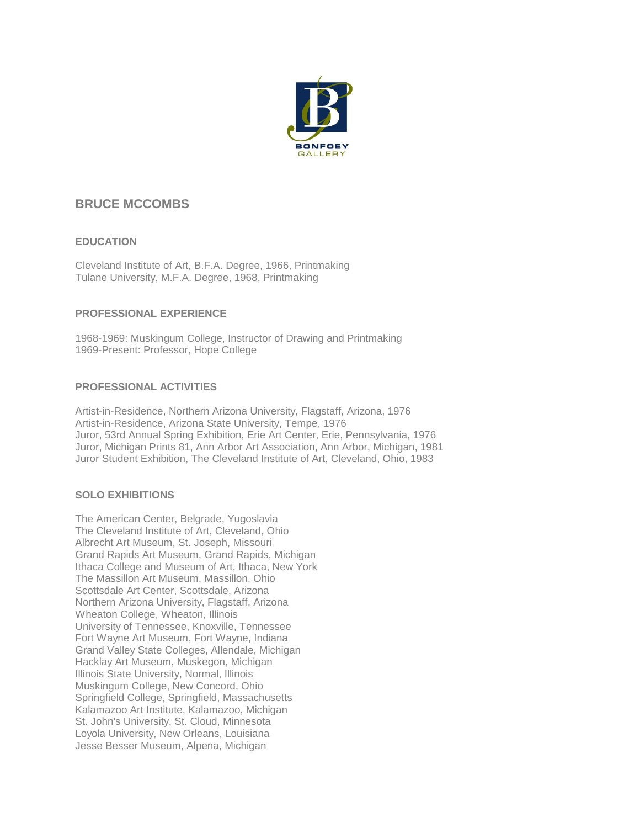

# **BRUCE MCCOMBS**

# **EDUCATION**

Cleveland Institute of Art, B.F.A. Degree, 1966, Printmaking Tulane University, M.F.A. Degree, 1968, Printmaking

# **PROFESSIONAL EXPERIENCE**

1968-1969: Muskingum College, Instructor of Drawing and Printmaking 1969-Present: Professor, Hope College

# **PROFESSIONAL ACTIVITIES**

Artist-in-Residence, Northern Arizona University, Flagstaff, Arizona, 1976 Artist-in-Residence, Arizona State University, Tempe, 1976 Juror, 53rd Annual Spring Exhibition, Erie Art Center, Erie, Pennsylvania, 1976 Juror, Michigan Prints 81, Ann Arbor Art Association, Ann Arbor, Michigan, 1981 Juror Student Exhibition, The Cleveland Institute of Art, Cleveland, Ohio, 1983

## **SOLO EXHIBITIONS**

The American Center, Belgrade, Yugoslavia The Cleveland Institute of Art, Cleveland, Ohio Albrecht Art Museum, St. Joseph, Missouri Grand Rapids Art Museum, Grand Rapids, Michigan Ithaca College and Museum of Art, Ithaca, New York The Massillon Art Museum, Massillon, Ohio Scottsdale Art Center, Scottsdale, Arizona Northern Arizona University, Flagstaff, Arizona Wheaton College, Wheaton, Illinois University of Tennessee, Knoxville, Tennessee Fort Wayne Art Museum, Fort Wayne, Indiana Grand Valley State Colleges, Allendale, Michigan Hacklay Art Museum, Muskegon, Michigan Illinois State University, Normal, Illinois Muskingum College, New Concord, Ohio Springfield College, Springfield, Massachusetts Kalamazoo Art Institute, Kalamazoo, Michigan St. John's University, St. Cloud, Minnesota Loyola University, New Orleans, Louisiana Jesse Besser Museum, Alpena, Michigan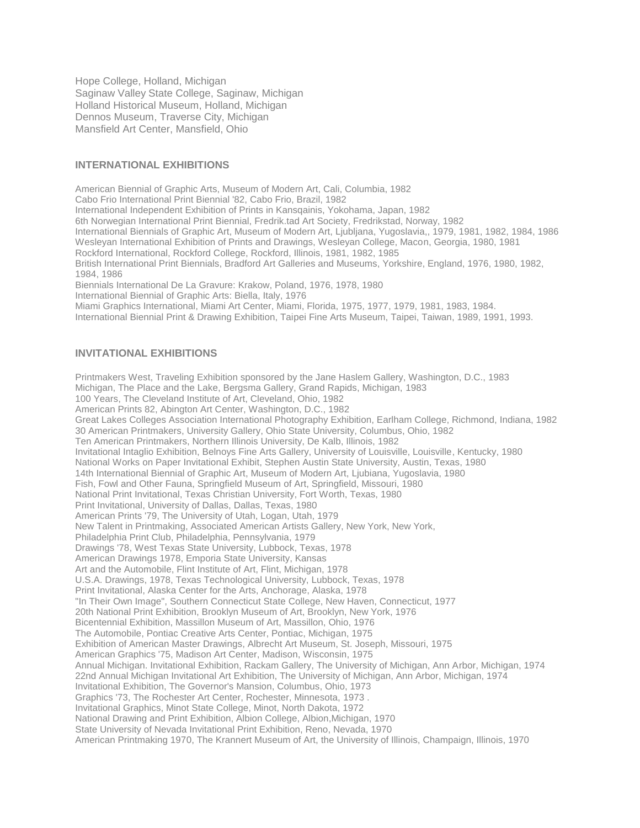Hope College, Holland, Michigan Saginaw Valley State College, Saginaw, Michigan Holland Historical Museum, Holland, Michigan Dennos Museum, Traverse City, Michigan Mansfield Art Center, Mansfield, Ohio

### **INTERNATIONAL EXHIBITIONS**

American Biennial of Graphic Arts, Museum of Modern Art, Cali, Columbia, 1982 Cabo Frio International Print Biennial '82, Cabo Frio, Brazil, 1982 International Independent Exhibition of Prints in Kansqainis, Yokohama, Japan, 1982 6th Norwegian International Print Biennial, Fredrik.tad Art Society, Fredrikstad, Norway, 1982 International Biennials of Graphic Art, Museum of Modern Art, Ljubljana, Yugoslavia,, 1979, 1981, 1982, 1984, 1986 Wesleyan International Exhibition of Prints and Drawings, Wesleyan College, Macon, Georgia, 1980, 1981 Rockford International, Rockford College, Rockford, Illinois, 1981, 1982, 1985 British International Print Biennials, Bradford Art Galleries and Museums, Yorkshire, England, 1976, 1980, 1982, 1984, 1986 Biennials International De La Gravure: Krakow, Poland, 1976, 1978, 1980 International Biennial of Graphic Arts: Biella, Italy, 1976 Miami Graphics International, Miami Art Center, Miami, Florida, 1975, 1977, 1979, 1981, 1983, 1984. International Biennial Print & Drawing Exhibition, Taipei Fine Arts Museum, Taipei, Taiwan, 1989, 1991, 1993.

## **INVITATIONAL EXHIBITIONS**

Printmakers West, Traveling Exhibition sponsored by the Jane Haslem Gallery, Washington, D.C., 1983 Michigan, The Place and the Lake, Bergsma Gallery, Grand Rapids, Michigan, 1983 100 Years, The Cleveland Institute of Art, Cleveland, Ohio, 1982 American Prints 82, Abington Art Center, Washington, D.C., 1982 Great Lakes Colleges Association International Photography Exhibition, Earlham College, Richmond, Indiana, 1982 30 American Printmakers, University Gallery, Ohio State University, Columbus, Ohio, 1982 Ten American Printmakers, Northern Illinois University, De Kalb, Illinois, 1982 Invitational Intaglio Exhibition, Belnoys Fine Arts Gallery, University of Louisville, Louisville, Kentucky, 1980 National Works on Paper Invitational Exhibit, Stephen Austin State University, Austin, Texas, 1980 14th International Biennial of Graphic Art, Museum of Modern Art, Ljubiana, Yugoslavia, 1980 Fish, Fowl and Other Fauna, Springfield Museum of Art, Springfield, Missouri, 1980 National Print Invitational, Texas Christian University, Fort Worth, Texas, 1980 Print Invitational, University of Dallas, Dallas, Texas, 1980 American Prints '79, The University of Utah, Logan, Utah, 1979 New Talent in Printmaking, Associated American Artists Gallery, New York, New York, Philadelphia Print Club, Philadelphia, Pennsylvania, 1979 Drawings '78, West Texas State University, Lubbock, Texas, 1978 American Drawings 1978, Emporia State University, Kansas Art and the Automobile, Flint Institute of Art, Flint, Michigan, 1978 U.S.A. Drawings, 1978, Texas Technological University, Lubbock, Texas, 1978 Print Invitational, Alaska Center for the Arts, Anchorage, Alaska, 1978 "In Their Own Image", Southern Connecticut State College, New Haven, Connecticut, 1977 20th National Print Exhibition, Brooklyn Museum of Art, Brooklyn, New York, 1976 Bicentennial Exhibition, Massillon Museum of Art, Massillon, Ohio, 1976 The Automobile, Pontiac Creative Arts Center, Pontiac, Michigan, 1975 Exhibition of American Master Drawings, Albrecht Art Museum, St. Joseph, Missouri, 1975 American Graphics '75, Madison Art Center, Madison, Wisconsin, 1975 Annual Michigan. Invitational Exhibition, Rackam Gallery, The University of Michigan, Ann Arbor, Michigan, 1974 22nd Annual Michigan Invitational Art Exhibition, The University of Michigan, Ann Arbor, Michigan, 1974 Invitational Exhibition, The Governor's Mansion, Columbus, Ohio, 1973 Graphics '73, The Rochester Art Center, Rochester, Minnesota, 1973 . Invitational Graphics, Minot State College, Minot, North Dakota, 1972 National Drawing and Print Exhibition, Albion College, Albion,Michigan, 1970 State University of Nevada Invitational Print Exhibition, Reno, Nevada, 1970 American Printmaking 1970, The Krannert Museum of Art, the University of Illinois, Champaign, Illinois, 1970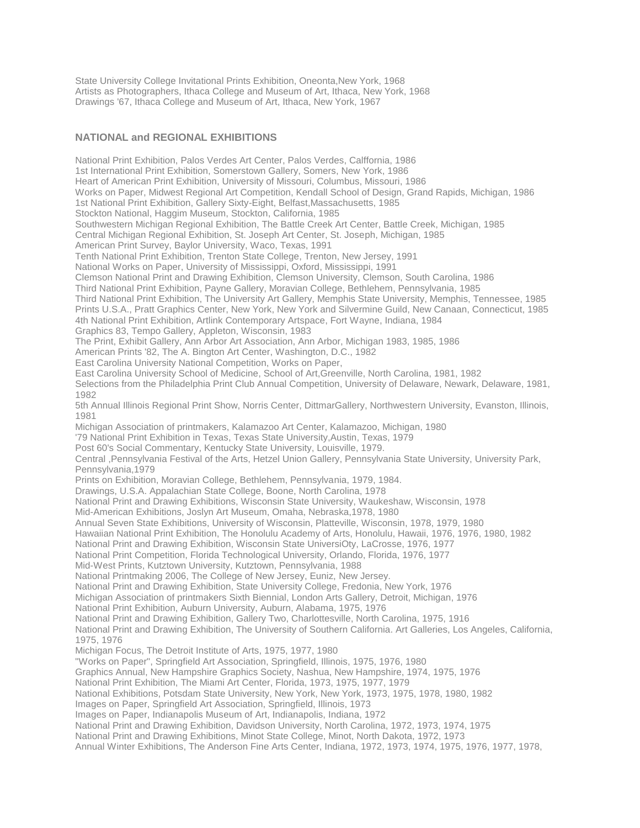State University College Invitational Prints Exhibition, Oneonta,New York, 1968 Artists as Photographers, Ithaca College and Museum of Art, Ithaca, New York, 1968 Drawings '67, Ithaca College and Museum of Art, Ithaca, New York, 1967

## **NATIONAL and REGIONAL EXHIBITIONS**

National Print Exhibition, Palos Verdes Art Center, Palos Verdes, Calffornia, 1986 1st International Print Exhibition, Somerstown Gallery, Somers, New York, 1986 Heart of American Print Exhibition, University of Missouri, Columbus, Missouri, 1986 Works on Paper, Midwest Regional Art Competition, Kendall School of Design, Grand Rapids, Michigan, 1986 1st National Print Exhibition, Gallery Sixty-Eight, Belfast,Massachusetts, 1985 Stockton National, Haggim Museum, Stockton, California, 1985 Southwestern Michigan Regional Exhibition, The Battle Creek Art Center, Battle Creek, Michigan, 1985 Central Michigan Regional Exhibition, St. Joseph Art Center, St. Joseph, Michigan, 1985 American Print Survey, Baylor University, Waco, Texas, 1991 Tenth National Print Exhibition, Trenton State College, Trenton, New Jersey, 1991 National Works on Paper, University of Mississippi, Oxford, Mississippi, 1991 Clemson National Print and Drawing Exhibition, Clemson University, Clemson, South Carolina, 1986 Third National Print Exhibition, Payne Gallery, Moravian College, Bethlehem, Pennsylvania, 1985 Third National Print Exhibition, The University Art Gallery, Memphis State University, Memphis, Tennessee, 1985 Prints U.S.A., Pratt Graphics Center, New York, New York and Silvermine Guild, New Canaan, Connecticut, 1985 4th National Print Exhibition, Artlink Contemporary Artspace, Fort Wayne, Indiana, 1984 Graphics 83, Tempo Gallery, Appleton, Wisconsin, 1983 The Print, Exhibit Gallery, Ann Arbor Art Association, Ann Arbor, Michigan 1983, 1985, 1986 American Prints '82, The A. Bington Art Center, Washington, D.C., 1982 East Carolina University National Competition, Works on Paper, East Carolina University School of Medicine, School of Art,Greenville, North Carolina, 1981, 1982 Selections from the Philadelphia Print Club Annual Competition, University of Delaware, Newark, Delaware, 1981, 1982 5th Annual Illinois Regional Print Show, Norris Center, DittmarGallery, Northwestern University, Evanston, Illinois, 1981 Michigan Association of printmakers, Kalamazoo Art Center, Kalamazoo, Michigan, 1980 '79 National Print Exhibition in Texas, Texas State University,Austin, Texas, 1979 Post 60's Social Commentary, Kentucky State University, Louisville, 1979. Central ,Pennsylvania Festival of the Arts, Hetzel Union Gallery, Pennsylvania State University, University Park, Pennsylvania,1979 Prints on Exhibition, Moravian College, Bethlehem, Pennsylvania, 1979, 1984. Drawings, U.S.A. Appalachian State College, Boone, North Carolina, 1978 National Print and Drawing Exhibitions, Wisconsin State University, Waukeshaw, Wisconsin, 1978 Mid-American Exhibitions, Joslyn Art Museum, Omaha, Nebraska,1978, 1980 Annual Seven State Exhibitions, University of Wisconsin, Platteville, Wisconsin, 1978, 1979, 1980 Hawaiian National Print Exhibition, The Honolulu Academy of Arts, Honolulu, Hawaii, 1976, 1976, 1980, 1982 National Print and Drawing Exhibition, Wisconsin State UniversiOty, LaCrosse, 1976, 1977 National Print Competition, Florida Technological University, Orlando, Florida, 1976, 1977 Mid-West Prints, Kutztown University, Kutztown, Pennsylvania, 1988 National Printmaking 2006, The College of New Jersey, Euniz, New Jersey. National Print and Drawing Exhibition, State University College, Fredonia, New York, 1976 Michigan Association of printmakers Sixth Biennial, London Arts Gallery, Detroit, Michigan, 1976 National Print Exhibition, Auburn University, Auburn, Alabama, 1975, 1976 National Print and Drawing Exhibition, Gallery Two, Charlottesville, North Carolina, 1975, 1916 National Print and Drawing Exhibition, The University of Southern California. Art Galleries, Los Angeles, California, 1975, 1976 Michigan Focus, The Detroit Institute of Arts, 1975, 1977, 1980 "Works on Paper", Springfield Art Association, Springfield, Illinois, 1975, 1976, 1980 Graphics Annual, New Hampshire Graphics Society, Nashua, New Hampshire, 1974, 1975, 1976 National Print Exhibition, The Miami Art Center, Florida, 1973, 1975, 1977, 1979 National Exhibitions, Potsdam State University, New York, New York, 1973, 1975, 1978, 1980, 1982 Images on Paper, Springfield Art Association, Springfield, Illinois, 1973 Images on Paper, Indianapolis Museum of Art, Indianapolis, Indiana, 1972 National Print and Drawing Exhibition, Davidson University, North Carolina, 1972, 1973, 1974, 1975 National Print and Drawing Exhibitions, Minot State College, Minot, North Dakota, 1972, 1973

Annual Winter Exhibitions, The Anderson Fine Arts Center, Indiana, 1972, 1973, 1974, 1975, 1976, 1977, 1978,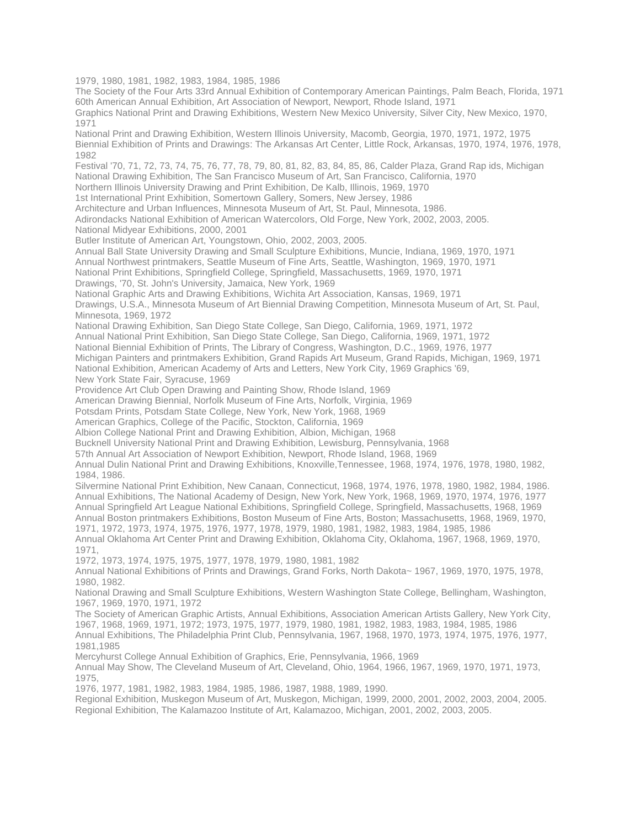1979, 1980, 1981, 1982, 1983, 1984, 1985, 1986

The Society of the Four Arts 33rd Annual Exhibition of Contemporary American Paintings, Palm Beach, Florida, 1971 60th American Annual Exhibition, Art Association of Newport, Newport, Rhode Island, 1971

Graphics National Print and Drawing Exhibitions, Western New Mexico University, Silver City, New Mexico, 1970, 1971

National Print and Drawing Exhibition, Western Illinois University, Macomb, Georgia, 1970, 1971, 1972, 1975 Biennial Exhibition of Prints and Drawings: The Arkansas Art Center, Little Rock, Arkansas, 1970, 1974, 1976, 1978, 1982

Festival '70, 71, 72, 73, 74, 75, 76, 77, 78, 79, 80, 81, 82, 83, 84, 85, 86, Calder Plaza, Grand Rap ids, Michigan National Drawing Exhibition, The San Francisco Museum of Art, San Francisco, California, 1970

Northern Illinois University Drawing and Print Exhibition, De Kalb, Illinois, 1969, 1970

1st International Print Exhibition, Somertown Gallery, Somers, New Jersey, 1986

Architecture and Urban Influences, Minnesota Museum of Art, St. Paul, Minnesota, 1986.

Adirondacks National Exhibition of American Watercolors, Old Forge, New York, 2002, 2003, 2005.

National Midyear Exhibitions, 2000, 2001

Butler Institute of American Art, Youngstown, Ohio, 2002, 2003, 2005.

Annual Ball State University Drawing and Small Sculpture Exhibitions, Muncie, Indiana, 1969, 1970, 1971

Annual Northwest printmakers, Seattle Museum of Fine Arts, Seattle, Washington, 1969, 1970, 1971

National Print Exhibitions, Springfield College, Springfield, Massachusetts, 1969, 1970, 1971

Drawings, '70, St. John's University, Jamaica, New York, 1969

National Graphic Arts and Drawing Exhibitions, Wichita Art Association, Kansas, 1969, 1971

Drawings, U.S.A., Minnesota Museum of Art Biennial Drawing Competition, Minnesota Museum of Art, St. Paul, Minnesota, 1969, 1972

National Drawing Exhibition, San Diego State College, San Diego, California, 1969, 1971, 1972

Annual National Print Exhibition, San Diego State College, San Diego, California, 1969, 1971, 1972

National Biennial Exhibition of Prints, The Library of Congress, Washington, D.C., 1969, 1976, 1977

Michigan Painters and printmakers Exhibition, Grand Rapids Art Museum, Grand Rapids, Michigan, 1969, 1971

National Exhibition, American Academy of Arts and Letters, New York City, 1969 Graphics '69,

New York State Fair, Syracuse, 1969

Providence Art Club Open Drawing and Painting Show, Rhode Island, 1969

American Drawing Biennial, Norfolk Museum of Fine Arts, Norfolk, Virginia, 1969

Potsdam Prints, Potsdam State College, New York, New York, 1968, 1969

American Graphics, College of the Pacific, Stockton, California, 1969

Albion College National Print and Drawing Exhibition, Albion, Michigan, 1968

Bucknell University National Print and Drawing Exhibition, Lewisburg, Pennsylvania, 1968

57th Annual Art Association of Newport Exhibition, Newport, Rhode Island, 1968, 1969

Annual Dulin National Print and Drawing Exhibitions, Knoxville,Tennessee, 1968, 1974, 1976, 1978, 1980, 1982, 1984, 1986.

Silvermine National Print Exhibition, New Canaan, Connecticut, 1968, 1974, 1976, 1978, 1980, 1982, 1984, 1986. Annual Exhibitions, The National Academy of Design, New York, New York, 1968, 1969, 1970, 1974, 1976, 1977 Annual Springfield Art League National Exhibitions, Springfield College, Springfield, Massachusetts, 1968, 1969 Annual Boston printmakers Exhibitions, Boston Museum of Fine Arts, Boston; Massachusetts, 1968, 1969, 1970, 1971, 1972, 1973, 1974, 1975, 1976, 1977, 1978, 1979, 1980, 1981, 1982, 1983, 1984, 1985, 1986

Annual Oklahoma Art Center Print and Drawing Exhibition, Oklahoma City, Oklahoma, 1967, 1968, 1969, 1970, 1971,

1972, 1973, 1974, 1975, 1975, 1977, 1978, 1979, 1980, 1981, 1982

Annual National Exhibitions of Prints and Drawings, Grand Forks, North Dakota~ 1967, 1969, 1970, 1975, 1978, 1980, 1982.

National Drawing and Small Sculpture Exhibitions, Western Washington State College, Bellingham, Washington, 1967, 1969, 1970, 1971, 1972

The Society of American Graphic Artists, Annual Exhibitions, Association American Artists Gallery, New York City, 1967, 1968, 1969, 1971, 1972; 1973, 1975, 1977, 1979, 1980, 1981, 1982, 1983, 1983, 1984, 1985, 1986 Annual Exhibitions, The Philadelphia Print Club, Pennsylvania, 1967, 1968, 1970, 1973, 1974, 1975, 1976, 1977,

1981,1985 Mercyhurst College Annual Exhibition of Graphics, Erie, Pennsylvania, 1966, 1969

Annual May Show, The Cleveland Museum of Art, Cleveland, Ohio, 1964, 1966, 1967, 1969, 1970, 1971, 1973, 1975,

1976, 1977, 1981, 1982, 1983, 1984, 1985, 1986, 1987, 1988, 1989, 1990.

Regional Exhibition, Muskegon Museum of Art, Muskegon, Michigan, 1999, 2000, 2001, 2002, 2003, 2004, 2005. Regional Exhibition, The Kalamazoo Institute of Art, Kalamazoo, Michigan, 2001, 2002, 2003, 2005.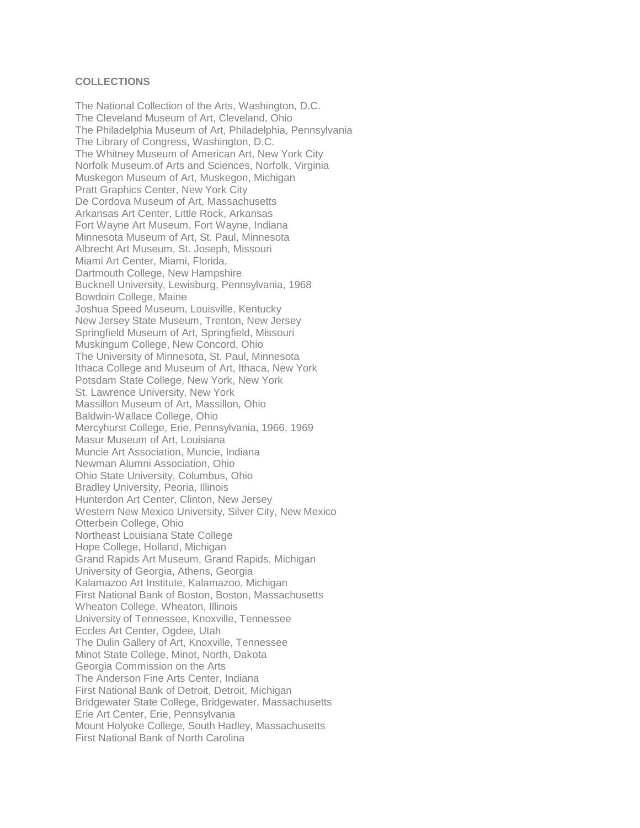#### **COLLECTIONS**

The National Collection of the Arts, Washington, D.C. The Cleveland Museum of Art, Cleveland, Ohio The Philadelphia Museum of Art, Philadelphia, Pennsylvania The Library of Congress, Washington, D.C. The Whitney Museum of American Art, New York City Norfolk Museum.of Arts and Sciences, Norfolk, Virginia Muskegon Museum of Art, Muskegon, Michigan Pratt Graphics Center, New York City De Cordova Museum of Art, Massachusetts Arkansas Art Center, Little Rock, Arkansas Fort Wayne Art Museum, Fort Wayne, Indiana Minnesota Museum of Art, St. Paul, Minnesota Albrecht Art Museum, St. Joseph, Missouri Miami Art Center, Miami, Florida, Dartmouth College, New Hampshire Bucknell University, Lewisburg, Pennsylvania, 1968 Bowdoin College, Maine Joshua Speed Museum, Louisville, Kentucky New Jersey State Museum, Trenton, New Jersey Springfield Museum of Art, Springfield, Missouri Muskingum College, New Concord, Ohio The University of Minnesota, St. Paul, Minnesota Ithaca College and Museum of Art, Ithaca, New York Potsdam State College, New York, New York St. Lawrence University, New York Massillon Museum of Art, Massillon, Ohio Baldwin-Wallace College, Ohio Mercyhurst College, Erie, Pennsylvania, 1966, 1969 Masur Museum of Art, Louisiana Muncie Art Association, Muncie, Indiana Newman Alumni Association, Ohio Ohio State University, Columbus, Ohio Bradley University, Peoria, Illinois Hunterdon Art Center, Clinton, New Jersey Western New Mexico University, Silver City, New Mexico Otterbein College, Ohio Northeast Louisiana State College Hope College, Holland, Michigan Grand Rapids Art Museum, Grand Rapids, Michigan University of Georgia, Athens, Georgia Kalamazoo Art Institute, Kalamazoo, Michigan First National Bank of Boston, Boston, Massachusetts Wheaton College, Wheaton, Illinois University of Tennessee, Knoxville, Tennessee Eccles Art Center, Ogdee, Utah The Dulin Gallery of Art, Knoxville, Tennessee Minot State College, Minot, North, Dakota Georgia Commission on the Arts The Anderson Fine Arts Center, Indiana First National Bank of Detroit, Detroit, Michigan Bridgewater State College, Bridgewater, Massachusetts Erie Art Center, Erie, Pennsylvania Mount Holyoke College, South Hadley, Massachusetts First National Bank of North Carolina